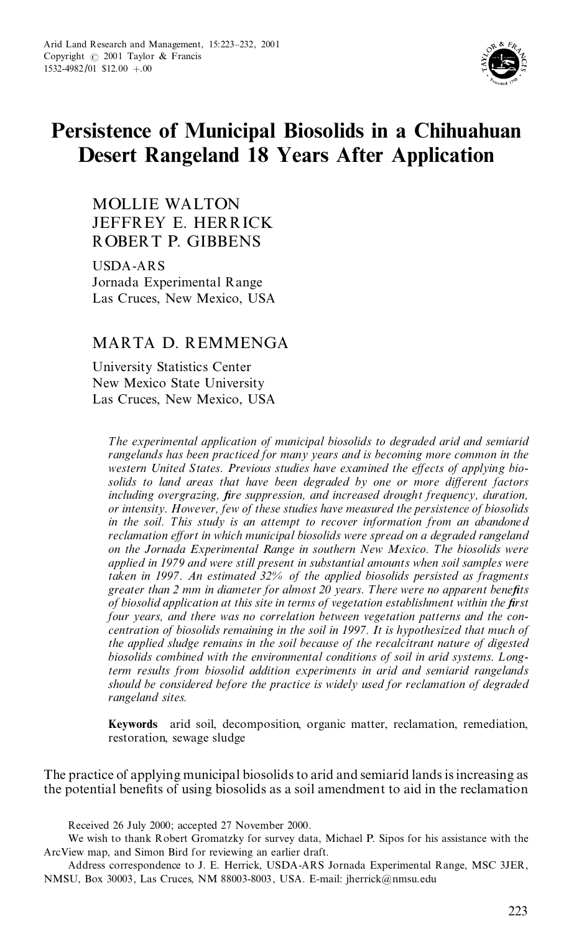

# **Persistence of Municipal Biosolids in a Chihuahuan Desert Rangeland 18 Years After Application**

MOLLIE WALTON JEFFREY E. HERRICK ROBERT P. GIBBENS

USDA-ARS Jornada Experimental Range Las Cruces, New Mexico, USA

# MARTA D. REMMENGA

University Statistics Center New Mexico State University Las Cruces, New Mexico, USA

*The experimental application of municipal biosolids to degraded arid and semiarid rangelands has been practiced for many years and is becoming more common in the western United States. Previous studies have examined the e ects of applying bio solids to land areas that have been degraded by one or more di erent factors including overgrazing, ®re suppression, and increased drought frequency, duration, or intensity. However, few of these studies have measured the persistence of biosolids in the soil. This study is an attempt to recover information from an abandoned reclamation e ort in which municipal biosolids were spread on a degraded rangeland on the Jornada Experimental Range in southern New Mexico. The biosolids were applied in 1979 and were still present in substantial amounts when soil samples were taken in 1997. An estimated 32% of the applied biosolids persisted as fragments greater than* 2 *mm in diameter for almost* 20 *years. There were no apparent benefits of biosolid application at this site in terms of vegetation establishment within the ®rst four years, and there was no correlation between vegetation patterns and the con centration of biosolids remaining in the soil in 1997. It is hypothesized that much of the applied sludge remains in the soil because of the recalcitrant nature of digested biosolids combined with the environmental conditions of soil in arid systems. L ongterm results from biosolid addition experiments in arid and semiarid rangelands should be considered before the practice is widely used for reclamation of degraded rangeland sites.*

**Keywords** arid soil, decomposition, organic matter, reclamation, remediation, restoration, sewage sludge

The practice of applying municipal biosolids to arid and semiarid lands isincreasing as the potential benefits of using biosolids as a soil amendment to aid in the reclamation

Received 26 July 2000; accepted 27 November 2000.

We wish to thank Robert Gromatzky for survey data, Michael P. Sipos for his assistance with the ArcView map, and Simon Bird for reviewing an earlier draft.

Address correspondence to J.E. Herrick, USDA-ARS Jornada Experimental Range, MSC 3JER, NMSU, Box 30003, Las Cruces, NM 88003-8003, USA. E-mail: jherrick@nmsu.edu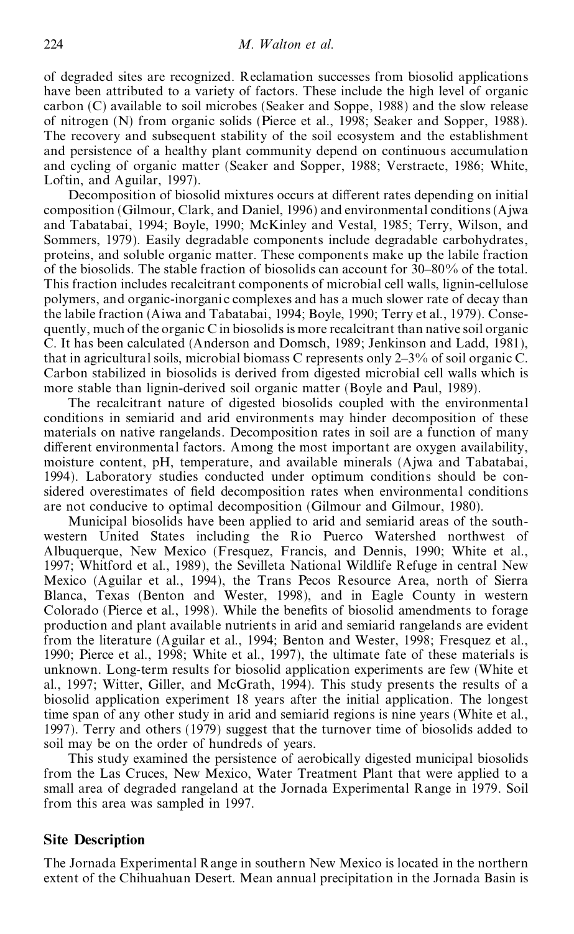of degraded sites are recognized. Reclamation successes from biosolid applications have been attributed to a variety of factors. These include the high level of organic carbon (C) available to soil microbes (Seaker and Soppe, 1988) and the slow release of nitrogen (N) from organic solids (Pierce et al., 1998; Seaker and Sopper, 1988). The recovery and subsequent stability of the soil ecosystem and the establishment and persistence of a healthy plant community depend on continuous accumulation and cycling of organic matter (Seaker and Sopper, 1988; Verstraete, 1986; White, Loftin, and Aguilar, 1997).

Decomposition of biosolid mixtures occurs at different rates depending on initial composition (Gilmour, Clark, and Daniel, 1996) and environmental conditions (Ajwa and Tabatabai, 1994; Boyle, 1990; McKinley and Vestal, 1985; Terry, Wilson, and Sommers, 1979). Easily degradable components include degradable carbohydrates, proteins, and soluble organic matter. These components make up the labile fraction of the biosolids. The stable fraction of biosolids can account for  $30-80%$  of the total. This fraction includes recalcitrant components of microbial cell walls, lignin-cellulose polymers, and organic-inorgani c complexes and has a much slower rate of decay than the labile fraction (Aiwa and Tabatabai, 1994; Boyle, 1990; Terry et al., 1979). Conse quently, much of the organic C in biosolids is more recalcitrant than native soil organic C. It has been calculated (Anderson and Domsch, 1989; Jenkinson and Ladd, 1981), that in agricultural soils, microbial biomass C represents only  $2-3\%$  of soil organic C. Carbon stabilized in biosolids is derived from digested microbial cell walls which is more stable than lignin-derived soil organic matter (Boyle and Paul, 1989).

The recalcitrant nature of digested biosolids coupled with the environmental conditions in semiarid and arid environments may hinder decomposition of these materials on native rangelands. Decomposition rates in soil are a function of many different environmental factors. Among the most important are oxygen availability, moisture content, pH, temperature, and available minerals (Ajwa and Tabatabai, 1994). Laboratory studies conducted under optimum conditions should be con sidered overestimates of field decomposition rates when environmental conditions are not conducive to optimal decomposition (Gilmour and Gilmour, 1980).

Municipal biosolids have been applied to arid and semiarid areas of the south western United States including the Rio Puerco Watershed northwest of Albuquerque, New Mexico (Fresquez, Francis, and Dennis, 1990; White et al., 1997; Whitford et al., 1989), the Sevilleta National Wildlife Refuge in central New Mexico (Aguilar et al., 1994), the Trans Pecos Resource Area, north of Sierra Blanca, Texas (Benton and Wester, 1998), and in Eagle County in western Colorado (Pierce et al., 1998). While the benefits of biosolid amendments to forage production and plant available nutrients in arid and semiarid rangelands are evident from the literature (Aguilar et al., 1994; Benton and Wester, 1998; Fresquez et al., 1990; Pierce et al., 1998; White et al., 1997), the ultimate fate of these materials is unknown. Long-term results for biosolid application experiments are few (White et al., 1997; Witter, Giller, and McGrath, 1994). This study presents the results of a biosolid application experiment 18 years after the initial application. The longest time span of any other study in arid and semiarid regions is nine years (White et al., 1997). Terry and others (1979) suggest that the turnover time of biosolids added to soil may be on the order of hundreds of years.

This study examined the persistence of aerobically digested municipal biosolids from the Las Cruces, New Mexico, Water Treatment Plant that were applied to a small area of degraded rangeland at the Jornada Experimental Range in 1979. Soil from this area was sampled in 1997.

### **Site Description**

The Jornada Experimental Range in southern New Mexico is located in the northern extent of the Chihuahuan Desert. Mean annual precipitation in the Jornada Basin is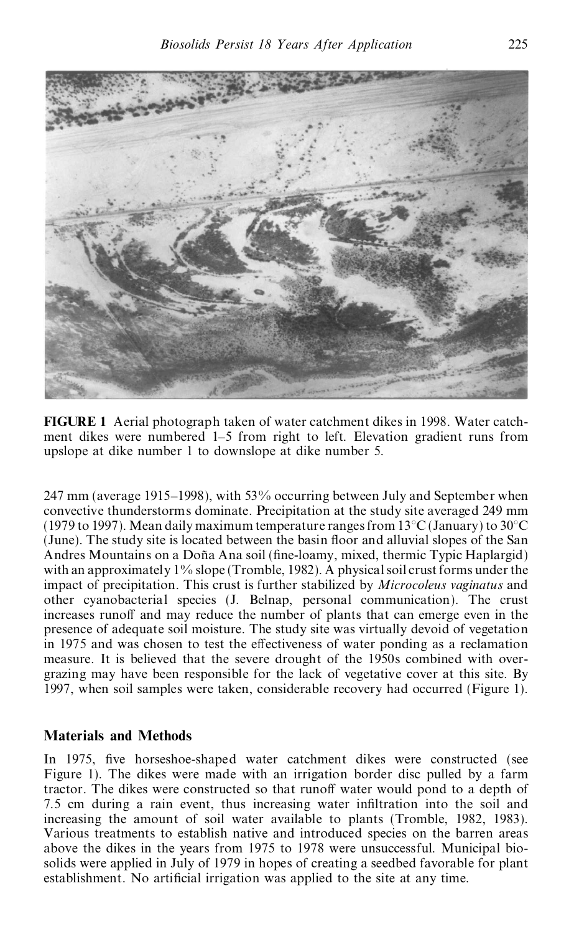

**FIGURE 1** Aerial photograph taken of water catchment dikes in 1998. Water catch ment dikes were numbered 1–5 from right to left. Elevation gradient runs from upslope at dike number 1 to downslope at dike number 5.

247 mm (average 1915–1998), with  $53\%$  occurring between July and September when convective thunderstorms dominate. Precipitation at the study site averaged 249 mm (1979 to 1997). Mean daily maximum temperature ranges from  $13^{\circ}$ C (January) to  $30^{\circ}$ C (June). The study site is located between the basin floor and alluvial slopes of the San Andres Mountains on a Doña Ana soil (fine-loamy, mixed, thermic Typic Haplargid) with an approximately  $1\%$  slope (Tromble, 1982). A physical soil crust forms under the impact of precipitation. This crust is further stabilized by *Microcoleus vaginatus* and other cyanobacterial species (J. Belnap, personal communication). The crust increases runoff and may reduce the number of plants that can emerge even in the presence of adequate soil moisture. The study site was virtually devoid of vegetation in 1975 and was chosen to test the effectiveness of water ponding as a reclamation measure. It is believed that the severe drought of the 1950s combined with over grazing may have been responsible for the lack of vegetative cover at this site. By 1997, when soil samples were taken, considerable recovery had occurred (Figure 1).

# **Materials and Methods**

In 1975, five horseshoe-shaped water catchment dikes were constructed (see Figure 1). The dikes were made with an irrigation border disc pulled by a farm tractor. The dikes were constructed so that runoff water would pond to a depth of 7.5 cm during a rain event, thus increasing water infiltration into the soil and increasing the amount of soil water available to plants (Tromble, 1982, 1983). Various treatments to establish native and introduced species on the barren areas above the dikes in the years from 1975 to 1978 were unsuccessful. Municipal bio solids were applied in July of 1979 in hopes of creating a seedbed favorable for plant establishment. No artificial irrigation was applied to the site at any time.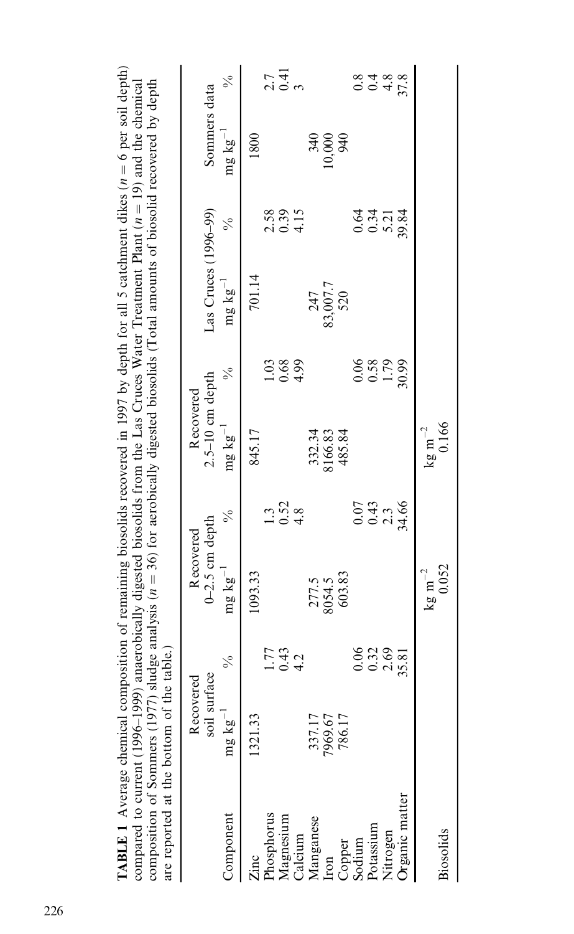|                                   |                           |                     |                               |                              |                                |                                                    |                        | composition of Sommers (1977) sludge analysis ( $n = 36$ ) for aerobically digested biosolids (Total amounts of biosolid recovered by depth are reported at the bottom of the table.) |                       |                              |
|-----------------------------------|---------------------------|---------------------|-------------------------------|------------------------------|--------------------------------|----------------------------------------------------|------------------------|---------------------------------------------------------------------------------------------------------------------------------------------------------------------------------------|-----------------------|------------------------------|
|                                   | soil surface<br>Recovered |                     | $0-2.5$ cm depth<br>Recovered |                              | $2.5-10$ cm depth<br>Recovered |                                                    | Las Cruces (1996-99)   |                                                                                                                                                                                       | Sommers data          |                              |
| Component                         | mg $\mathrm{kg}^{-1}$     | $\frac{5}{6}$       | mg $\mathrm{kg}^{-1}$         | $\frac{6}{6}$                | $\rm{mg}$ $\rm{kg}^{-1}$       | $\frac{1}{2}$                                      | $mg \ kg^{-1}$         | $\frac{6}{6}$                                                                                                                                                                         | mg $\mathrm{kg}^{-1}$ | $\frac{1}{2}$                |
| Zinc                              | 1321.33                   |                     | 1093.33                       |                              | 845.17                         |                                                    | 701.14                 |                                                                                                                                                                                       | 1800                  |                              |
| Phosphorus                        |                           |                     |                               |                              |                                |                                                    |                        |                                                                                                                                                                                       |                       |                              |
|                                   |                           | $\frac{1.77}{0.42}$ |                               | $1.3$<br>$0.52$<br>$4.8$     |                                | $\begin{array}{c} 1.03 \\ 0.69 \\ 4.5 \end{array}$ |                        | $2.39$<br>$0.315$                                                                                                                                                                     |                       | $21$<br>$21$<br>$32$<br>$32$ |
|                                   |                           |                     |                               |                              |                                |                                                    |                        |                                                                                                                                                                                       |                       |                              |
| Magnesium<br>Calcium<br>Manganese | 337.17                    |                     | 277.5<br>8054.5               |                              | 332.34<br>8166.83              |                                                    |                        |                                                                                                                                                                                       |                       |                              |
| Iron                              | 7969.67                   |                     |                               |                              |                                |                                                    | 247<br>83,007.7<br>520 |                                                                                                                                                                                       | 10,000<br>000101      |                              |
|                                   | 786.17                    |                     | 603.83                        |                              | 485.84                         |                                                    |                        |                                                                                                                                                                                       |                       |                              |
| Copper<br>Sodium                  |                           | 0.06                |                               |                              |                                |                                                    |                        |                                                                                                                                                                                       |                       |                              |
| Potassium                         |                           | $0.32$<br>$2.69$    |                               | 0.43<br>0.43<br>0.43<br>0.43 |                                | 0.06<br>0.58<br>1.79<br>30.99                      |                        | ರೆ ಸೆ ಸ್ಪ<br>೦೦ ಊ್ಲೆ<br>೦೦ ಊ್ಲೆ                                                                                                                                                       |                       | 00482<br>00488               |
| Nitrogen                          |                           |                     |                               |                              |                                |                                                    |                        |                                                                                                                                                                                       |                       |                              |
| <b>Prganic matter</b>             |                           | 35.81               |                               |                              |                                |                                                    |                        |                                                                                                                                                                                       |                       |                              |
|                                   |                           |                     | $\rm kg\ m^{-2}$              |                              | $\rm kg\ m^{-2}$               |                                                    |                        |                                                                                                                                                                                       |                       |                              |
| Biosolids                         |                           |                     | 0.052                         |                              | 0.166                          |                                                    |                        |                                                                                                                                                                                       |                       |                              |

**TABLE 1** Average chemical composition of remaining biosolids recovered in 1997 by depth for all 5 catchment dikes  $(n = 6$  per soil depth) **TABLE 1** Average chemical composition of remaining biosolids recovered in 1997 by depth for all 5 catchment dikes (*n* = 6 per soil depth) compared to current (1996–1999) anaerobically digested biosolids from the Las Cru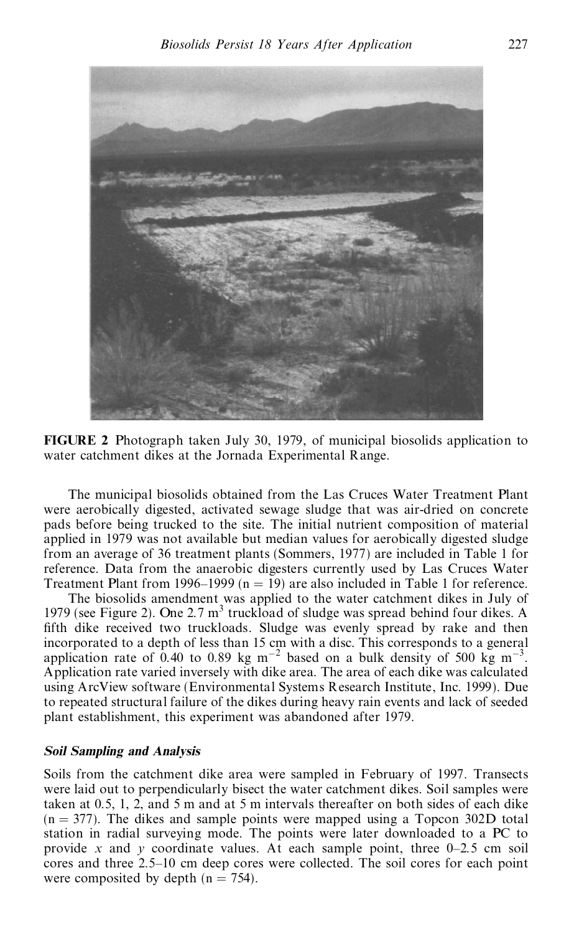



The municipal biosolids obtained from the Las Cruces Water Treatment Plant were aerobically digested, activated sewage sludge that was air-dried on concrete pads before being trucked to the site. The initial nutrient composition of material applied in 1979 was not available but median values for aerobically digested sludge from an average of 36 treatment plants (Sommers, 1977) are included in Table 1 for reference. Data from the anaerobic digesters currently used by Las Cruces Water Treatment Plant from 1996–1999 ( $n = 19$ ) are also included in Table 1 for reference.

The biosolids amendment was applied to the water catchment dikes in July of 1979 (see Figure 2). One 2.7  $m<sup>3</sup>$  truckload of sludge was spread behind four dikes. A fifth dike received two truckloads. Sludge was evenly spread by rake and then incorporated to a depth of less than 15 cm with a disc. This corresponds to a general application rate of 0.40 to 0.89 kg m<sup>-2</sup> based on a bulk density of 500 kg m<sup>-3</sup>. Application rate varied inversely with dike area. The area of each dike was calculated using ArcView software (Environmental Systems Research Institute, Inc. 1999). Due to repeated structural failure of the dikes during heavy rain events and lack of seeded plant establishment, this experiment was abandoned after 1979.

#### *Soil Sampling and Analysis*

Soils from the catchment dike area were sampled in February of 1997. Transects were laid out to perpendicularly bisect the water catchment dikes. Soil samples were taken at 0.5, 1, 2, and 5 m and at 5 m intervals thereafter on both sides of each dike  $(n = 377)$ . The dikes and sample points were mapped using a Topcon 302D total station in radial surveying mode. The points were later downloaded to a PC to provide *x* and *y* coordinate values. At each sample point, three  $0-2.5$  cm soil cores and three 2.5-10 cm deep cores were collected. The soil cores for each point were composited by depth  $(n = 754)$ .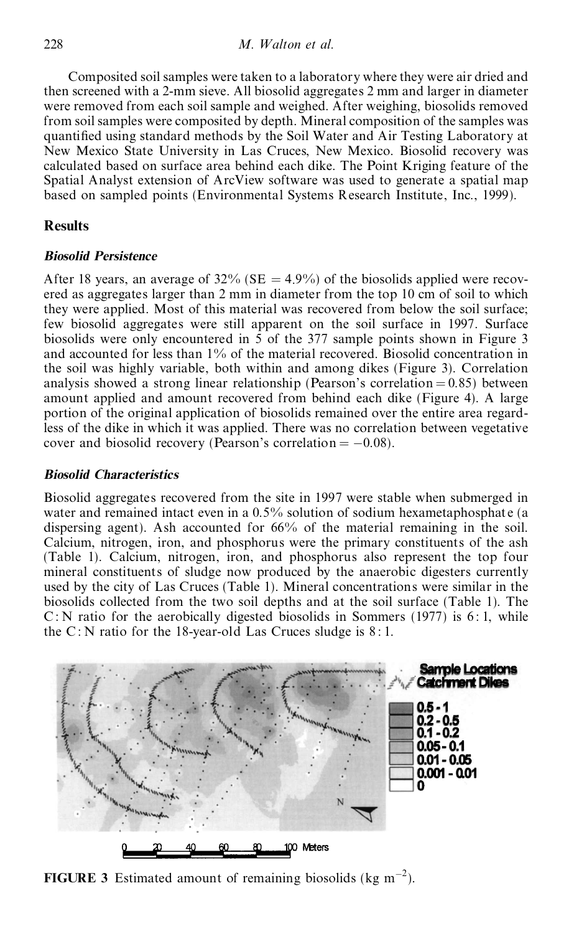Composited soil samples were taken to a laboratory where they were air dried and then screened with a 2-mm sieve. All biosolid aggregates 2 mm and larger in diameter were removed from each soil sample and weighed. After weighing, biosolids removed from soilsamples were composited by depth. Mineral composition of the samples was quantified using standard methods by the Soil Water and Air Testing Laboratory at New Mexico State University in Las Cruces, New Mexico. Biosolid recovery was calculated based on surface area behind each dike. The Point Kriging feature of the Spatial Analyst extension of ArcView software was used to generate a spatial map based on sampled points (Environmental Systems Research Institute, Inc., 1999).

# **Results**

## *Biosolid Persistence*

After 18 years, an average of 32% (SE  $=$  4.9%) of the biosolids applied were recovered as aggregates larger than 2 mm in diameter from the top 10 cm of soil to which they were applied. Most of this material was recovered from below the soil surface; few biosolid aggregates were still apparent on the soil surface in 1997. Surface biosolids were only encountered in 5 of the 377 sample points shown in Figure 3 and accounted for less than  $1\%$  of the material recovered. Biosolid concentration in the soil was highly variable, both within and among dikes (Figure 3). Correlation analysis showed a strong linear relationship (Pearson's correlation  $= 0.85$ ) between amount applied and amount recovered from behind each dike (Figure 4). A large portion of the original application of biosolids remained over the entire area regardless of the dike in which it was applied. There was no correlation between vegetative cover and biosolid recovery (Pearson's correlation  $= -0.08$ ).

## *Biosolid Characteristics*

Biosolid aggregates recovered from the site in 1997 were stable when submerged in water and remained intact even in a  $0.5\%$  solution of sodium hexametaphosphate (a dispersing agent). Ash accounted for 66% of the material remaining in the soil. Calcium, nitrogen, iron, and phosphorus were the primary constituents of the ash (Table 1). Calcium, nitrogen, iron, and phosphorus also represent the top four mineral constituents of sludge now produced by the anaerobic digesters currently used by the city of Las Cruces (Table 1). Mineral concentrations were similar in the biosolids collected from the two soil depths and at the soil surface (Table 1). The C: N ratio for the aerobically digested biosolids in Sommers (1977) is 6:1, while the  $C: N$  ratio for the 18-year-old Las Cruces sludge is  $8:1$ .



**FIGURE 3** Estimated amount of remaining biosolids ( $kg \text{ m}^{-2}$ ).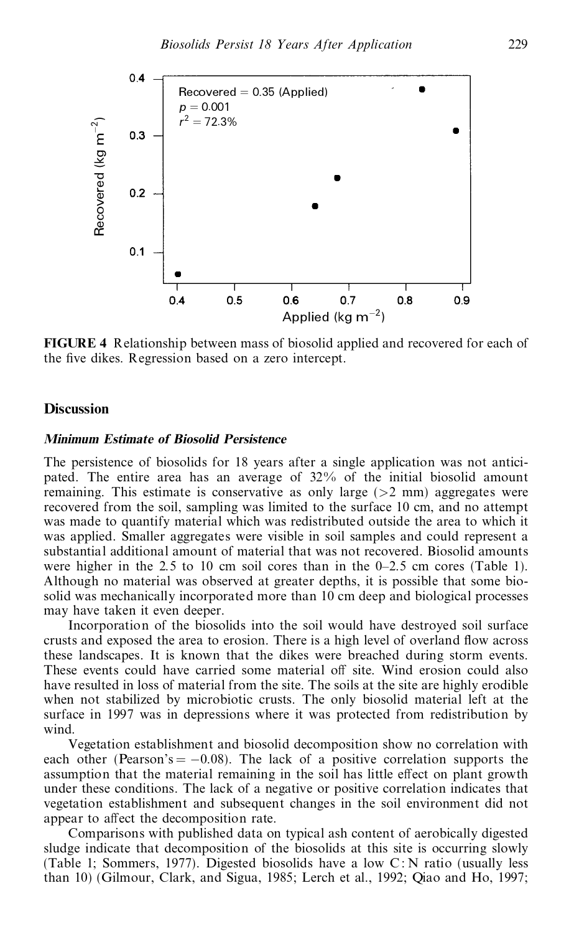

**FIGURE 4** Relationship between mass of biosolid applied and recovered for each of the five dikes. Regression based on a zero intercept.

### **Discussion**

#### *Minimum Estimate of Biosolid Persistence*

The persistence of biosolids for 18 years after a single application was not antici pated. The entire area has an average of 32% of the initial biosolid amount remaining. This estimate is conservative as only large  $(>2$  mm) aggregates were recovered from the soil, sampling was limited to the surface 10 cm, and no attempt was made to quantify material which was redistributed outside the area to which it was applied. Smaller aggregates were visible in soil samples and could represent a substantial additional amount of material that was not recovered. Biosolid amounts were higher in the  $2.5$  to 10 cm soil cores than in the  $0-2.5$  cm cores (Table 1). Although no material was observed at greater depths, it is possible that some bio solid was mechanically incorporated more than 10 cm deep and biological processes may have taken it even deeper.

Incorporation of the biosolids into the soil would have destroyed soil surface crusts and exposed the area to erosion. There is a high level of overland flow across these landscapes. It is known that the dikes were breached during storm events. These events could have carried some material off site. Wind erosion could also have resulted in loss of material from the site. The soils at the site are highly erodible when not stabilized by microbiotic crusts. The only biosolid material left at the surface in 1997 was in depressions where it was protected from redistribution by wind.

Vegetation establishment and biosolid decomposition show no correlation with each other (Pearson's  $= -0.08$ ). The lack of a positive correlation supports the assumption that the material remaining in the soil has little effect on plant growth under these conditions. The lack of a negative or positive correlation indicates that vegetation establishment and subsequent changes in the soil environment did not appear to affect the decomposition rate.

Comparisons with published data on typical ash content of aerobically digested sludge indicate that decomposition of the biosolids at this site is occurring slowly (Table 1; Sommers, 1977). Digested biosolids have a low C : N ratio (usually less than 10) (Gilmour, Clark, and Sigua, 1985; Lerch et al., 1992; Qiao and Ho, 1997;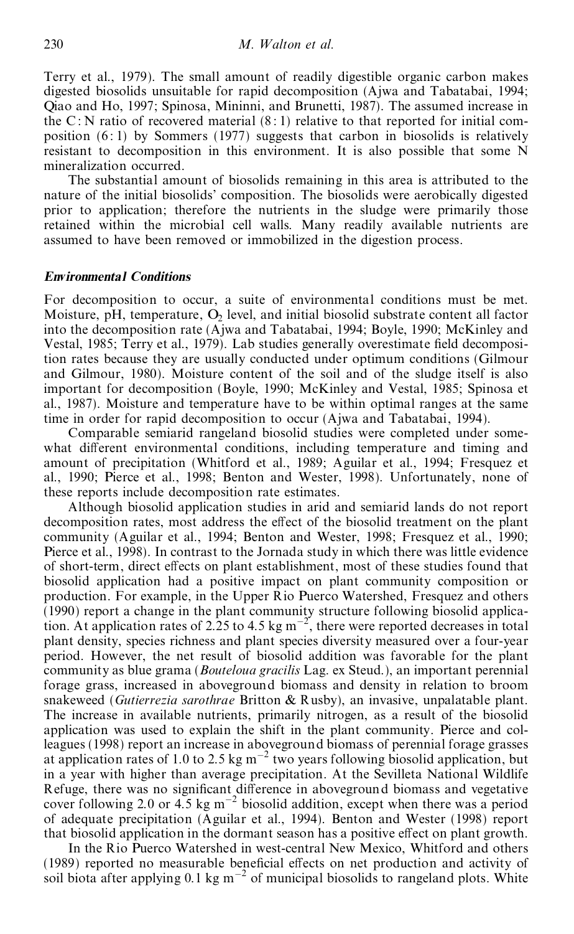Terry et al., 1979). The small amount of readily digestible organic carbon makes digested biosolids unsuitable for rapid decomposition (Ajwa and Tabatabai, 1994; Qiao and Ho, 1997; Spinosa, Mininni, and Brunetti, 1987). The assumed increase in the C : N ratio of recovered material  $(8:1)$  relative to that reported for initial composition  $(6:1)$  by Sommers (1977) suggests that carbon in biosolids is relatively resistant to decomposition in this environment. It is also possible that some N mineralization occurred.

The substantial amount of biosolids remaining in this area is attributed to the nature of the initial biosolids' composition. The biosolids were aerobically digested prior to application; therefore the nutrients in the sludge were primarily those retained within the microbial cell walls. Many readily available nutrients are assumed to have been removed or immobilized in the digestion process.

#### *Environmental Conditions*

For decomposition to occur, a suite of environmental conditions must be met. Moisture, pH, temperature,  $O_2$  level, and initial biosolid substrate content all factor into the decomposition rate (Ajwa and Tabatabai, 1994; Boyle, 1990; McKinley and Vestal, 1985; Terry et al., 1979). Lab studies generally overestimate field decomposition rates because they are usually conducted under optimum conditions (Gilmour and Gilmour, 1980). Moisture content of the soil and of the sludge itself is also important for decomposition (Boyle, 1990; McKinley and Vestal, 1985; Spinosa et al., 1987). Moisture and temperature have to be within optimal ranges at the same time in order for rapid decomposition to occur (Ajwa and Tabatabai, 1994).

Comparable semiarid rangeland biosolid studies were completed under some what different environmental conditions, including temperature and timing and amount of precipitation (Whitford et al., 1989; Aguilar et al., 1994; Fresquez et al., 1990; Pierce et al., 1998; Benton and Wester, 1998). Unfortunately, none of these reports include decomposition rate estimates.

Although biosolid application studies in arid and semiarid lands do not report decomposition rates, most address the effect of the biosolid treatment on the plant community (Aguilar et al., 1994; Benton and Wester, 1998; Fresquez et al., 1990; Pierce et al., 1998). In contrast to the Jornada study in which there was little evidence of short-term, direct effects on plant establishment, most of these studies found that biosolid application had a positive impact on plant community composition or production. For example, in the Upper Rio Puerco Watershed, Fresquez and others (1990) report a change in the plant community structure following biosolid application. At application rates of 2.25 to 4.5 kg m<sup>-2</sup>, there were reported decreases in total plant density, species richness and plant species diversity measured over a four-year period. However, the net result of biosolid addition was favorable for the plant community as blue grama (*Bouteloua gracilis* Lag. ex Steud.), an important perennial forage grass, increased in aboveground biomass and density in relation to broom snakeweed (*Gutierrezia sarothrae* Britton & Rusby), an invasive, unpalatable plant. The increase in available nutrients, primarily nitrogen, as a result of the biosolid application was used to explain the shift in the plant community. Pierce and colleagues (1998) report an increase in aboveground biomass of perennial forage grasses at application rates of 1.0 to 2.5 kg  $m^{-2}$  two years following biosolid application, but in a year with higher than average precipitation. At the Sevilleta National Wildlife Refuge, there was no significant difference in aboveground biomass and vegetative cover following 2.0 or 4.5 kg  $m^{-2}$  biosolid addition, except when there was a period of adequate precipitation (Aguilar et al., 1994). Benton and Wester (1998) report that biosolid application in the dormant season has a positive effect on plant growth.

In the Rio Puerco Watershed in west-central New Mexico, Whitford and others (1989) reported no measurable beneficial effects on net production and activity of soil biota after applying 0.1 kg m<sup> $-2$ </sup> of municipal biosolids to rangeland plots. White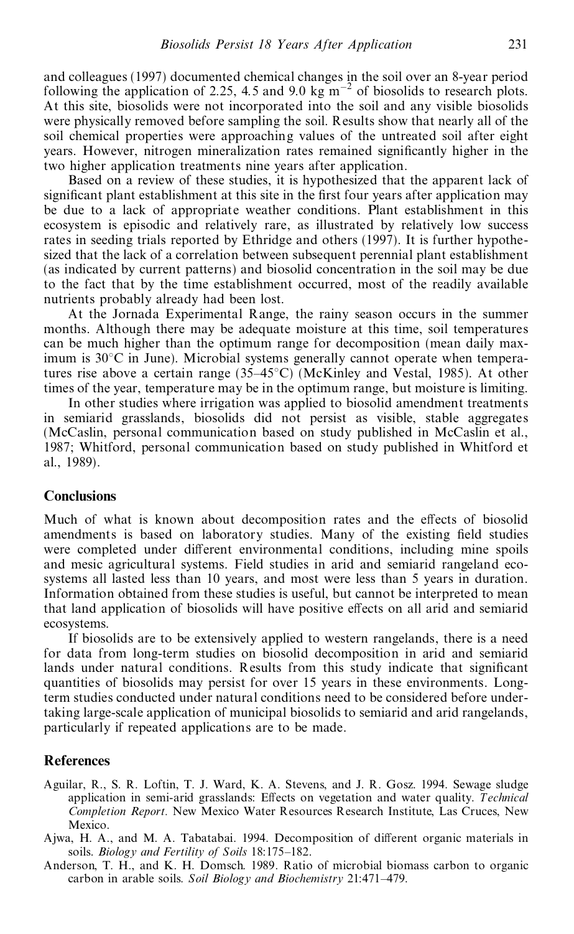and colleagues (1997) documented chemical changes in the soil over an 8-year period following the application of 2.25, 4.5 and 9.0 kg  $\text{m}^{-2}$  of biosolids to research plots. At this site, biosolids were not incorporated into the soil and any visible biosolids were physically removed before sampling the soil. Results show that nearly all of the soil chemical properties were approaching values of the untreated soil after eight years. However, nitrogen mineralization rates remained significantly higher in the two higher application treatments nine years after application.

Based on a review of these studies, it is hypothesized that the apparent lack of significant plant establishment at this site in the first four years after application may be due to a lack of appropriate weather conditions. Plant establishment in this ecosystem is episodic and relatively rare, as illustrated by relatively low success rates in seeding trials reported by Ethridge and others (1997). It is further hypothe sized that the lack of a correlation between subsequent perennial plant establishment (as indicated by current patterns) and biosolid concentration in the soil may be due to the fact that by the time establishment occurred, most of the readily available nutrients probably already had been lost.

At the Jornada Experimental Range, the rainy season occurs in the summer months. Although there may be adequate moisture at this time, soil temperatures can be much higher than the optimum range for decomposition (mean daily maximum is  $30^{\circ}$ C in June). Microbial systems generally cannot operate when temperatures rise above a certain range  $(35-45^{\circ}C)$  (McKinley and Vestal, 1985). At other times of the year, temperature may be in the optimum range, but moisture is limiting.

In other studies where irrigation was applied to biosolid amendment treatments in semiarid grasslands, biosolids did not persist as visible, stable aggregates (McCaslin, personal communication based on study published in McCaslin et al., 1987; Whitford, personal communication based on study published in Whitford et al., 1989).

# **Conclusions**

Much of what is known about decomposition rates and the effects of biosolid amendments is based on laboratory studies. Many of the existing field studies were completed under different environmental conditions, including mine spoils and mesic agricultural systems. Field studies in arid and semiarid rangeland eco systems all lasted less than 10 years, and most were less than 5 years in duration. Information obtained from these studies is useful, but cannot be interpreted to mean that land application of biosolids will have positive effects on all arid and semiarid ecosystems.

If biosolids are to be extensively applied to western rangelands, there is a need for data from long-term studies on biosolid decomposition in arid and semiarid lands under natural conditions. Results from this study indicate that significant quantities of biosolids may persist for over 15 years in these environments. Longterm studies conducted under natural conditions need to be considered before undertaking large-scale application of municipal biosolids to semiarid and arid rangelands, particularly if repeated applications are to be made.

#### **References**

- Aguilar, R., S. R. Loftin, T. J. Ward, K. A. Stevens, and J.R. Gosz. 1994. Sewage sludge application in semi-arid grasslands: Effects on vegetation and water quality. *Technical Completion Report.* New Mexico Water Resources Research Institute, Las Cruces, New Mexico.
- Ajwa, H. A., and M. A. Tabatabai. 1994. Decomposition of different organic materials in soils. *Biology* and *Fertility* of *Soils* 18:175–182.
- Anderson, T. H., and K. H. Domsch. 1989. Ratio of microbial biomass carbon to organic carbon in arable soils. *Soil Biology and Biochemistry* 21:471–479.